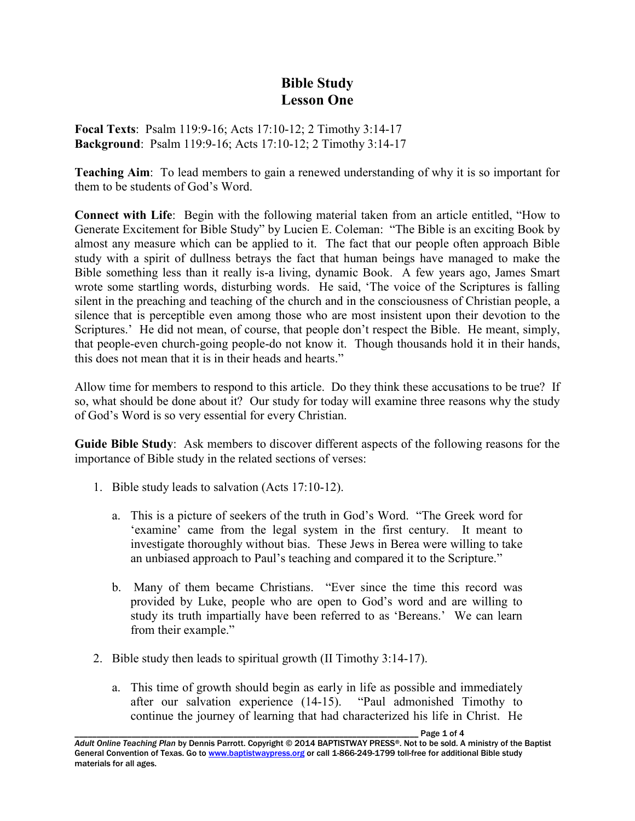## **Bible Study Lesson One**

**Focal Texts**: Psalm 119:9-16; Acts 17:10-12; 2 Timothy 3:14-17 **Background**: Psalm 119:9-16; Acts 17:10-12; 2 Timothy 3:14-17

**Teaching Aim**: To lead members to gain a renewed understanding of why it is so important for them to be students of God's Word.

**Connect with Life**: Begin with the following material taken from an article entitled, "How to Generate Excitement for Bible Study" by Lucien E. Coleman: "The Bible is an exciting Book by almost any measure which can be applied to it. The fact that our people often approach Bible study with a spirit of dullness betrays the fact that human beings have managed to make the Bible something less than it really is-a living, dynamic Book. A few years ago, James Smart wrote some startling words, disturbing words. He said, 'The voice of the Scriptures is falling silent in the preaching and teaching of the church and in the consciousness of Christian people, a silence that is perceptible even among those who are most insistent upon their devotion to the Scriptures.' He did not mean, of course, that people don't respect the Bible. He meant, simply, that people-even church-going people-do not know it. Though thousands hold it in their hands, this does not mean that it is in their heads and hearts."

Allow time for members to respond to this article. Do they think these accusations to be true? If so, what should be done about it? Our study for today will examine three reasons why the study of God's Word is so very essential for every Christian.

**Guide Bible Study**: Ask members to discover different aspects of the following reasons for the importance of Bible study in the related sections of verses:

- 1. Bible study leads to salvation (Acts 17:10-12).
	- a. This is a picture of seekers of the truth in God's Word. "The Greek word for 'examine' came from the legal system in the first century. It meant to investigate thoroughly without bias. These Jews in Berea were willing to take an unbiased approach to Paul's teaching and compared it to the Scripture."
	- b. Many of them became Christians. "Ever since the time this record was provided by Luke, people who are open to God's word and are willing to study its truth impartially have been referred to as 'Bereans.' We can learn from their example."
- 2. Bible study then leads to spiritual growth (II Timothy 3:14-17).
	- a. This time of growth should begin as early in life as possible and immediately after our salvation experience (14-15). "Paul admonished Timothy to continue the journey of learning that had characterized his life in Christ. He

\_\_\_\_\_\_\_\_\_\_\_\_\_\_\_\_\_\_\_\_\_\_\_\_\_\_\_\_\_\_\_\_\_\_\_\_\_\_\_\_\_\_\_\_\_\_\_\_\_\_\_\_\_\_\_\_\_\_\_\_\_\_\_\_\_\_\_\_\_\_\_\_\_\_\_\_\_\_ Page 1 of 4 *Adult Online Teaching Plan* by Dennis Parrott. Copyright © 2014 BAPTISTWAY PRESS®. Not to be sold. A ministry of the Baptist General Convention of Texas. Go to www.baptistwaypress.org or call 1-866-249-1799 toll-free for additional Bible study materials for all ages.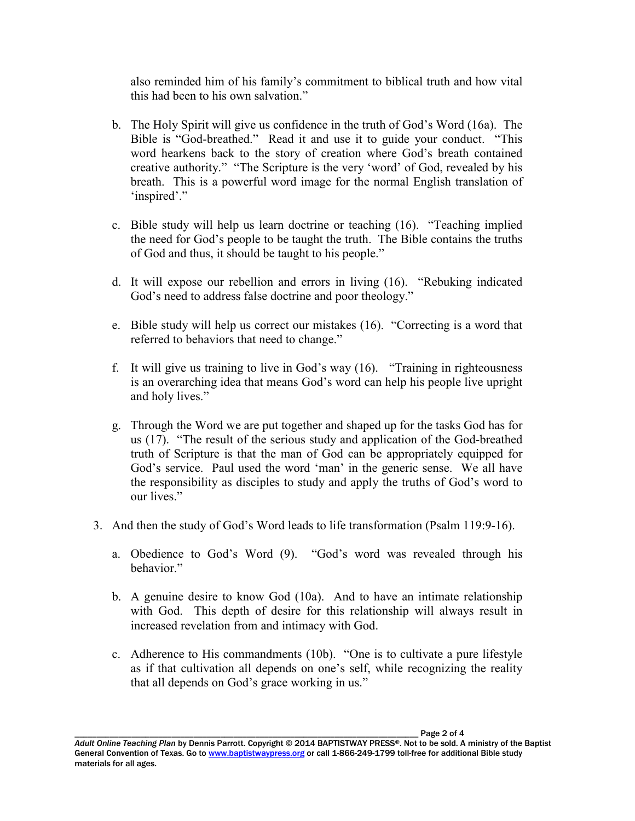also reminded him of his family's commitment to biblical truth and how vital this had been to his own salvation."

- b. The Holy Spirit will give us confidence in the truth of God's Word (16a). The Bible is "God-breathed." Read it and use it to guide your conduct. "This word hearkens back to the story of creation where God's breath contained creative authority." "The Scripture is the very 'word' of God, revealed by his breath. This is a powerful word image for the normal English translation of 'inspired'."
- c. Bible study will help us learn doctrine or teaching (16). "Teaching implied the need for God's people to be taught the truth. The Bible contains the truths of God and thus, it should be taught to his people."
- d. It will expose our rebellion and errors in living (16). "Rebuking indicated God's need to address false doctrine and poor theology."
- e. Bible study will help us correct our mistakes (16). "Correcting is a word that referred to behaviors that need to change."
- f. It will give us training to live in God's way (16). "Training in righteousness is an overarching idea that means God's word can help his people live upright and holy lives."
- g. Through the Word we are put together and shaped up for the tasks God has for us (17). "The result of the serious study and application of the God-breathed truth of Scripture is that the man of God can be appropriately equipped for God's service. Paul used the word 'man' in the generic sense. We all have the responsibility as disciples to study and apply the truths of God's word to our lives."
- 3. And then the study of God's Word leads to life transformation (Psalm 119:9-16).
	- a. Obedience to God's Word (9). "God's word was revealed through his behavior."
	- b. A genuine desire to know God (10a). And to have an intimate relationship with God. This depth of desire for this relationship will always result in increased revelation from and intimacy with God.
	- c. Adherence to His commandments (10b). "One is to cultivate a pure lifestyle as if that cultivation all depends on one's self, while recognizing the reality that all depends on God's grace working in us."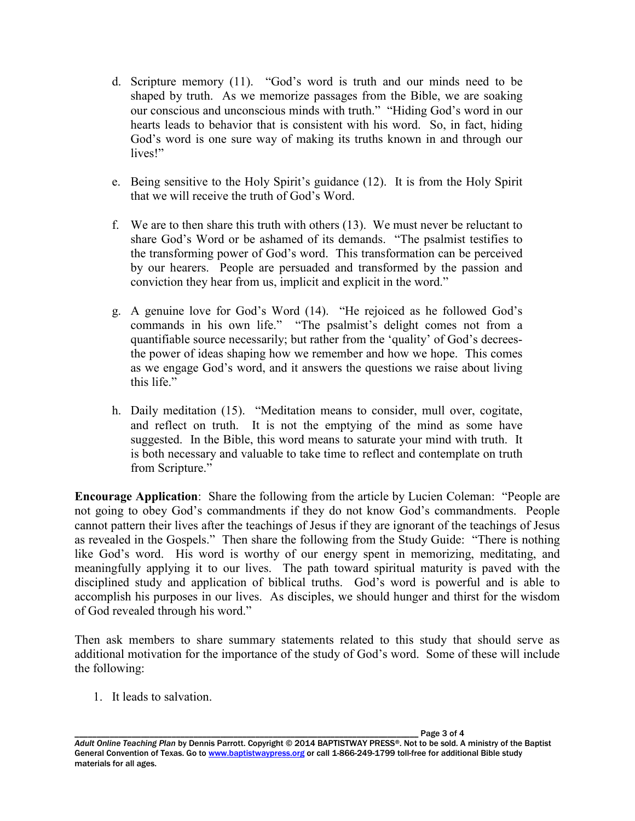- d. Scripture memory (11). "God's word is truth and our minds need to be shaped by truth. As we memorize passages from the Bible, we are soaking our conscious and unconscious minds with truth." "Hiding God's word in our hearts leads to behavior that is consistent with his word. So, in fact, hiding God's word is one sure way of making its truths known in and through our lives!"
- e. Being sensitive to the Holy Spirit's guidance (12). It is from the Holy Spirit that we will receive the truth of God's Word.
- f. We are to then share this truth with others (13). We must never be reluctant to share God's Word or be ashamed of its demands. "The psalmist testifies to the transforming power of God's word. This transformation can be perceived by our hearers. People are persuaded and transformed by the passion and conviction they hear from us, implicit and explicit in the word."
- g. A genuine love for God's Word (14). "He rejoiced as he followed God's commands in his own life." "The psalmist's delight comes not from a quantifiable source necessarily; but rather from the 'quality' of God's decreesthe power of ideas shaping how we remember and how we hope. This comes as we engage God's word, and it answers the questions we raise about living this life."
- h. Daily meditation (15). "Meditation means to consider, mull over, cogitate, and reflect on truth. It is not the emptying of the mind as some have suggested. In the Bible, this word means to saturate your mind with truth. It is both necessary and valuable to take time to reflect and contemplate on truth from Scripture."

**Encourage Application**: Share the following from the article by Lucien Coleman: "People are not going to obey God's commandments if they do not know God's commandments. People cannot pattern their lives after the teachings of Jesus if they are ignorant of the teachings of Jesus as revealed in the Gospels." Then share the following from the Study Guide: "There is nothing like God's word. His word is worthy of our energy spent in memorizing, meditating, and meaningfully applying it to our lives. The path toward spiritual maturity is paved with the disciplined study and application of biblical truths. God's word is powerful and is able to accomplish his purposes in our lives. As disciples, we should hunger and thirst for the wisdom of God revealed through his word."

Then ask members to share summary statements related to this study that should serve as additional motivation for the importance of the study of God's word. Some of these will include the following:

1. It leads to salvation.